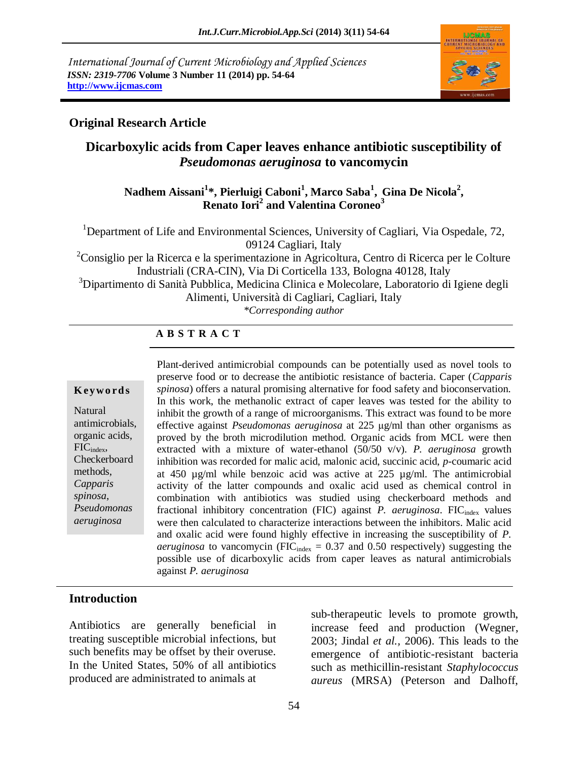*International Journal of Current Microbiology and Applied Sciences ISSN: 2319-7706* **Volume 3 Number 11 (2014) pp. 54-64 http://www.ijcmas.com**



#### **Original Research Article**

# **Dicarboxylic acids from Caper leaves enhance antibiotic susceptibility of**  *Pseudomonas aeruginosa* **to vancomycin**

#### **Nadhem Aissani<sup>1</sup> \*, Pierluigi Caboni<sup>1</sup> , Marco Saba<sup>1</sup> , Gina De Nicola<sup>2</sup> , Renato Iori<sup>2</sup> and Valentina Coroneo<sup>3</sup>**

<sup>1</sup>Department of Life and Environmental Sciences, University of Cagliari, Via Ospedale, 72, 09124 Cagliari, Italy

 $2$ Consiglio per la Ricerca e la sperimentazione in Agricoltura, Centro di Ricerca per le Colture Industriali (CRA-CIN), Via Di Corticella 133, Bologna 40128, Italy

<sup>3</sup>Dipartimento di Sanità Pubblica, Medicina Clinica e Molecolare, Laboratorio di Igiene degli

Alimenti, Università di Cagliari, Cagliari, Italy

*\*Corresponding author* 

#### **A B S T R A C T**

#### **K ey w o rd s**

Natural antimicrobials, organic acids, FICindex, Checkerboard methods, *Capparis spinosa*, *Pseudomonas aeruginosa*

Plant-derived antimicrobial compounds can be potentially used as novel tools to preserve food or to decrease the antibiotic resistance of bacteria. Caper (*Capparis spinosa*) offers a natural promising alternative for food safety and bioconservation. In this work, the methanolic extract of caper leaves was tested for the ability to inhibit the growth of a range of microorganisms. This extract was found to be more effective against *Pseudomonas aeruginosa* at 225 μg/ml than other organisms as proved by the broth microdilution method. Organic acids from MCL were then extracted with a mixture of water-ethanol (50/50 v/v). *P. aeruginosa* growth inhibition was recorded for malic acid, malonic acid, succinic acid, *p*-coumaric acid at 450 µg/ml while benzoic acid was active at 225 µg/ml. The antimicrobial activity of the latter compounds and oxalic acid used as chemical control in combination with antibiotics was studied using checkerboard methods and fractional inhibitory concentration (FIC) against *P. aeruginosa*. FIC<sub>index</sub> values were then calculated to characterize interactions between the inhibitors. Malic acid and oxalic acid were found highly effective in increasing the susceptibility of *P. aeruginosa* to vancomycin (FIC $_{index}$  = 0.37 and 0.50 respectively) suggesting the possible use of dicarboxylic acids from caper leaves as natural antimicrobials against *P. aeruginosa*

#### **Introduction**

Antibiotics are generally beneficial in treating susceptible microbial infections, but such benefits may be offset by their overuse. In the United States, 50% of all antibiotics produced are administrated to animals at

*P. aeruginosa*.

sub-therapeutic levels to promote growth, increase feed and production (Wegner, 2003; Jindal *et al.,* 2006). This leads to the emergence of antibiotic-resistant bacteria such as methicillin-resistant *Staphylococcus aureus* (MRSA) (Peterson and Dalhoff,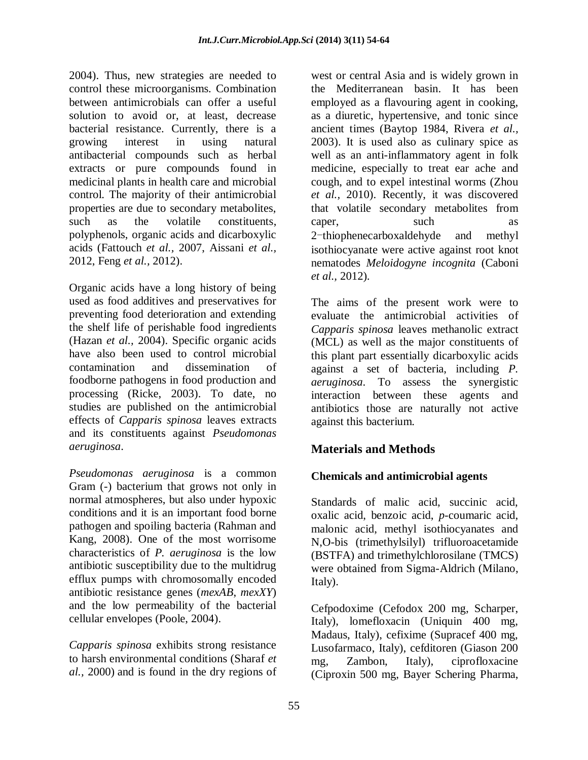2004). Thus, new strategies are needed to control these microorganisms. Combination between antimicrobials can offer a useful solution to avoid or, at least, decrease bacterial resistance. Currently, there is a growing interest in using natural antibacterial compounds such as herbal extracts or pure compounds found in medicinal plants in health care and microbial control. The majority of their antimicrobial properties are due to secondary metabolites, such as the volatile constituents, polyphenols, organic acids and dicarboxylic acids (Fattouch *et al.,* 2007, Aissani *et al.,* 2012, Feng *et al.,* 2012).

Organic acids have a long history of being used as food additives and preservatives for preventing food deterioration and extending the shelf life of perishable food ingredients (Hazan *et al.,* 2004). Specific organic acids have also been used to control microbial contamination and dissemination of foodborne pathogens in food production and processing (Ricke, 2003). To date, no studies are published on the antimicrobial effects of *Capparis spinosa* leaves extracts and its constituents against *Pseudomonas aeruginosa*.

*Pseudomonas aeruginosa* is a common Gram (-) [bacterium](http://en.wikipedia.org/wiki/Bacterium) that grows not only in normal atmospheres, but also under [hypoxic](http://en.wikipedia.org/wiki/Hypoxia_(environmental)) conditions and it is an important food borne pathogen and spoiling bacteria (Rahman and Kang, 2008). One of the most worrisome characteristics of *P. aeruginosa* is the low [antibiotic](http://en.wikipedia.org/wiki/Antibiotic) susceptibility due to the multidrug [efflux pumps](http://en.wikipedia.org/wiki/Efflux_(microbiology)) with chromosomally encoded [antibiotic resistance](http://en.wikipedia.org/wiki/Antibiotic_resistance) genes (*mexAB*, *mexXY*) and the low permeability of the bacterial cellular envelopes (Poole, 2004).

*Capparis spinosa* exhibits strong resistance to harsh environmental conditions (Sharaf *et al.,* 2000) and is found in the dry regions of west or central Asia and is widely grown in the Mediterranean basin. It has been employed as a flavouring agent in cooking, as a diuretic, hypertensive, and tonic since ancient times (Baytop 1984, Rivera *et al.,* 2003). It is used also as culinary spice as well as an anti-inflammatory agent in folk medicine, especially to treat ear ache and cough, and to expel intestinal worms (Zhou *et al.,* 2010). Recently, it was discovered that volatile secondary metabolites from caper, such as 2-thiophenecarboxaldehyde and methyl isothiocyanate were active against root knot nematodes *Meloidogyne incognita* (Caboni *et al.,* 2012).

The aims of the present work were to evaluate the antimicrobial activities of *Capparis spinosa* leaves methanolic extract (MCL) as well as the major constituents of this plant part essentially dicarboxylic acids against a set of bacteria, including *P. aeruginosa*. To assess the synergistic interaction between these agents and antibiotics those are naturally not active against this bacterium.

# **Materials and Methods**

# **Chemicals and antimicrobial agents**

Standards of malic acid, succinic acid, oxalic acid, benzoic acid, *p*-coumaric acid, malonic acid, methyl isothiocyanates and N,O-bis (trimethylsilyl) trifluoroacetamide (BSTFA) and trimethylchlorosilane (TMCS) were obtained from Sigma-Aldrich (Milano, Italy).

Cefpodoxime (Cefodox 200 mg, Scharper, Italy), lomefloxacin (Uniquin 400 mg, Madaus, Italy), cefixime (Supracef 400 mg, Lusofarmaco, Italy), cefditoren (Giason 200 mg, Zambon, Italy), ciprofloxacine (Ciproxin 500 mg, Bayer Schering Pharma,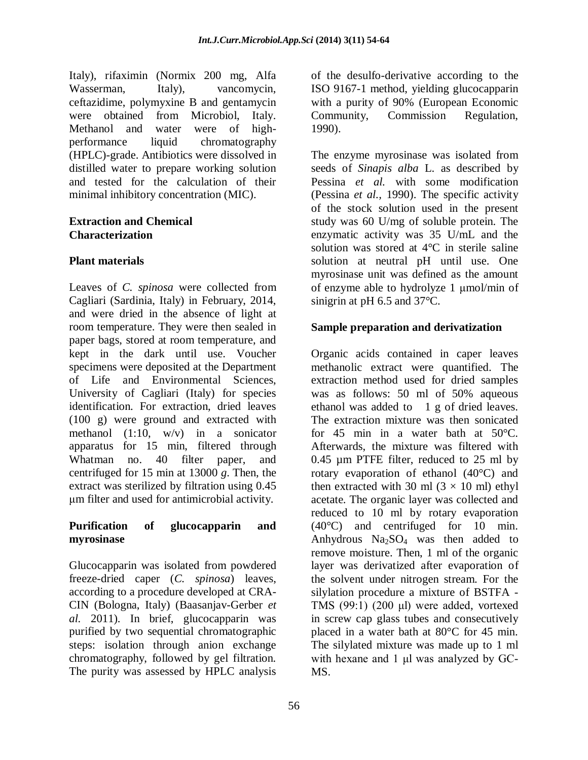Italy), rifaximin (Normix 200 mg, Alfa Wasserman, Italy), vancomycin, ceftazidime, polymyxine B and gentamycin were obtained from Microbiol, Italy. Methanol and water were of highperformance liquid chromatography (HPLC)-grade. Antibiotics were dissolved in distilled water to prepare working solution and tested for the calculation of their minimal inhibitory concentration (MIC).

#### **Extraction and Chemical Characterization**

# **Plant materials**

Leaves of *C. spinosa* were collected from Cagliari (Sardinia, Italy) in February, 2014, and were dried in the absence of light at room temperature. They were then sealed in paper bags, stored at room temperature, and kept in the dark until use. Voucher specimens were deposited at the Department of Life and Environmental Sciences, University of Cagliari (Italy) for species identification. For extraction, dried leaves (100 g) were ground and extracted with methanol (1:10, w/v) in a sonicator apparatus for 15 min, filtered through Whatman no. 40 filter paper, and centrifuged for 15 min at 13000 *g*. Then, the extract was sterilized by filtration using 0.45 μm filter and used for antimicrobial activity.

#### **Purification of glucocapparin and myrosinase**

Glucocapparin was isolated from powdered freeze-dried caper (*C. spinosa*) leaves, according to a procedure developed at CRA-CIN (Bologna, Italy) (Baasanjav-Gerber *et al.* 2011). In brief, glucocapparin was purified by two sequential chromatographic steps: isolation through anion exchange chromatography, followed by gel filtration. The purity was assessed by HPLC analysis

of the desulfo-derivative according to the ISO 9167-1 method, yielding glucocapparin with a purity of 90% (European Economic Community, Commission Regulation, 1990).

The enzyme myrosinase was isolated from seeds of *Sinapis alba* L. as described by Pessina *et al.* with some modification (Pessina *et al.,* 1990). The specific activity of the stock solution used in the present study was 60 U/mg of soluble protein. The enzymatic activity was 35 U/mL and the solution was stored at 4°C in sterile saline solution at neutral pH until use. One myrosinase unit was defined as the amount of enzyme able to hydrolyze 1 μmol/min of sinigrin at pH 6.5 and 37°C.

# **Sample preparation and derivatization**

Organic acids contained in caper leaves methanolic extract were quantified. The extraction method used for dried samples was as follows: 50 ml of 50% aqueous ethanol was added to 1 g of dried leaves. The extraction mixture was then sonicated for 45 min in a water bath at 50°C. Afterwards, the mixture was filtered with 0.45 µm PTFE filter, reduced to 25 ml by rotary evaporation of ethanol (40°C) and then extracted with 30 ml  $(3 \times 10$  ml) ethyl acetate. The organic layer was collected and reduced to 10 ml by rotary evaporation (40°C) and centrifuged for 10 min. Anhydrous  $Na<sub>2</sub>SO<sub>4</sub>$  was then added to remove moisture. Then, 1 ml of the organic layer was derivatized after evaporation of the solvent under nitrogen stream. For the silylation procedure a mixture of BSTFA - TMS (99:1) (200 μl) were added, vortexed in screw cap glass tubes and consecutively placed in a water bath at 80°C for 45 min. The silylated mixture was made up to 1 ml with hexane and 1 μl was analyzed by GC-MS.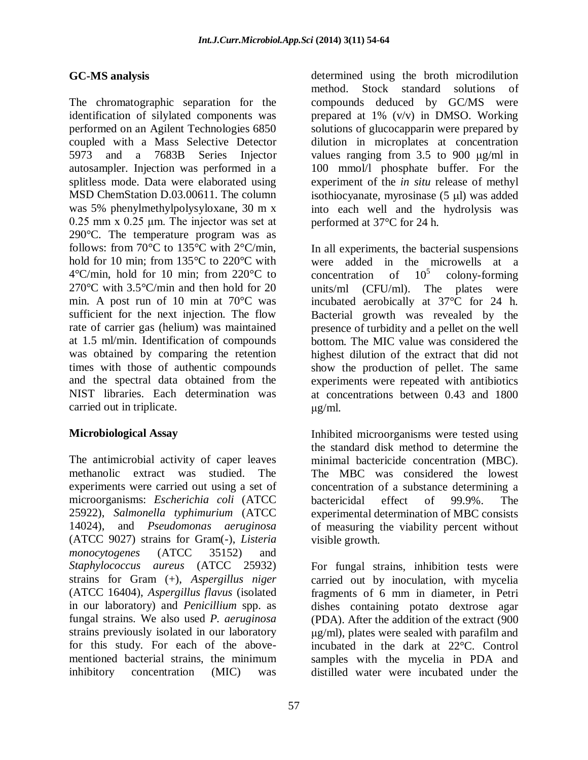#### **GC-MS analysis**

The chromatographic separation for the identification of silylated components was performed on an Agilent Technologies 6850 coupled with a Mass Selective Detector 5973 and a 7683B Series Injector autosampler. Injection was performed in a splitless mode. Data were elaborated using MSD ChemStation D.03.00611. The column was 5% phenylmethylpolysyloxane, 30 m x 0.25 mm x 0.25 μm. The injector was set at 290°C. The temperature program was as follows: from 70°C to 135°C with 2°C/min, hold for 10 min; from 135°C to 220°C with 4°C/min, hold for 10 min; from 220°C to 270°C with 3.5°C/min and then hold for 20 min. A post run of 10 min at 70°C was sufficient for the next injection. The flow rate of carrier gas (helium) was maintained at 1.5 ml/min. Identification of compounds was obtained by comparing the retention times with those of authentic compounds and the spectral data obtained from the NIST libraries. Each determination was carried out in triplicate.

#### **Microbiological Assay**

The antimicrobial activity of caper leaves methanolic extract was studied. The experiments were carried out using a set of microorganisms: *Escherichia coli* (ATCC 25922), *Salmonella typhimurium* (ATCC 14024), and *Pseudomonas aeruginosa* (ATCC 9027) strains for Gram(-), *Listeria monocytogenes* (ATCC 35152) and *Staphylococcus aureus* (ATCC 25932) strains for Gram (+), *Aspergillus niger* (ATCC 16404), *Aspergillus flavus* (isolated in our laboratory) and *Penicillium* spp. as fungal strains. We also used *P. aeruginosa* strains previously isolated in our laboratory for this study. For each of the abovementioned bacterial strains, the minimum inhibitory concentration (MIC) was

determined using the broth microdilution method. Stock standard solutions of compounds deduced by GC/MS were prepared at 1% (v/v) in DMSO. Working solutions of glucocapparin were prepared by dilution in microplates at concentration values ranging from 3.5 to 900 μg/ml in 100 mmol/l phosphate buffer. For the experiment of the *in situ* release of methyl isothiocyanate, myrosinase  $(5 \mu l)$  was added into each well and the hydrolysis was performed at 37°C for 24 h.

In all experiments, the bacterial suspensions were added in the microwells at a concentration of  $10^5$  colony-forming concentration of colony-forming units/ml (CFU/ml). The plates were incubated aerobically at 37°C for 24 h. Bacterial growth was revealed by the presence of turbidity and a pellet on the well bottom. The MIC value was considered the highest dilution of the extract that did not show the production of pellet. The same experiments were repeated with antibiotics at concentrations between 0.43 and 1800 μg/ml.

Inhibited microorganisms were tested using the standard disk method to determine the minimal bactericide concentration (MBC). The MBC was considered the lowest concentration of a substance determining a bactericidal effect of 99.9%. The experimental determination of MBC consists of measuring the viability percent without visible growth.

For fungal strains, inhibition tests were carried out by inoculation, with mycelia fragments of 6 mm in diameter, in Petri dishes containing potato dextrose agar (PDA). After the addition of the extract (900 μg/ml), plates were sealed with parafilm and incubated in the dark at 22°C. Control samples with the mycelia in PDA and distilled water were incubated under the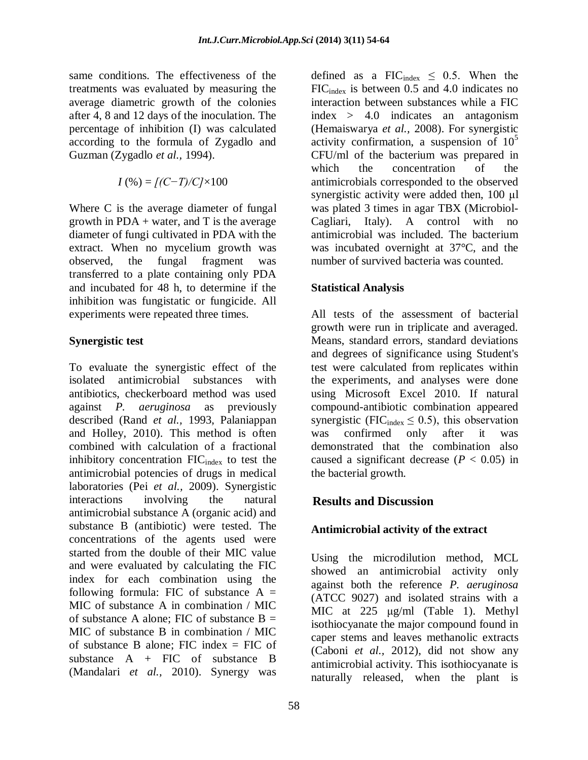same conditions. The effectiveness of the treatments was evaluated by measuring the average diametric growth of the colonies after 4, 8 and 12 days of the inoculation. The percentage of inhibition (I) was calculated according to the formula of Zygadlo and Guzman (Zygadlo *et al.,* 1994).

$$
I(\%) = [(C-T)/C] \times 100
$$

Where C is the average diameter of fungal growth in  $PDA + water$ , and T is the average diameter of fungi cultivated in PDA with the extract. When no mycelium growth was observed, the fungal fragment was transferred to a plate containing only PDA and incubated for 48 h, to determine if the inhibition was fungistatic or fungicide. All experiments were repeated three times.

#### **Synergistic test**

To evaluate the synergistic effect of the isolated antimicrobial substances with antibiotics, checkerboard method was used against *P. aeruginosa* as previously described (Rand *et al.,* 1993, Palaniappan and Holley, 2010). This method is often combined with calculation of a fractional inhibitory concentration  $FIC_{index}$  to test the antimicrobial potencies of drugs in medical laboratories (Pei *et al.,* 2009). Synergistic interactions involving the natural antimicrobial substance A (organic acid) and substance B (antibiotic) were tested. The concentrations of the agents used were started from the double of their MIC value and were evaluated by calculating the FIC index for each combination using the following formula: FIC of substance  $A =$ MIC of substance A in combination / MIC of substance A alone: FIC of substance  $B =$ MIC of substance B in combination / MIC of substance B alone; FIC index = FIC of substance A + FIC of substance B (Mandalari *et al.,* 2010). Synergy was

defined as a FIC $_{index} \le 0.5$ . When the FICindex is between 0.5 and 4.0 indicates no interaction between substances while a FIC index > 4.0 indicates an antagonism (Hemaiswarya *et al.,* 2008). For synergistic activity confirmation, a suspension of  $10^5$ CFU/ml of the bacterium was prepared in which the concentration of the antimicrobials corresponded to the observed synergistic activity were added then, 100 μl was plated 3 times in agar TBX (Microbiol-Cagliari, Italy). A control with no antimicrobial was included. The bacterium was incubated overnight at 37°C, and the number of survived bacteria was counted.

#### **Statistical Analysis**

All tests of the assessment of bacterial growth were run in triplicate and averaged. Means, standard errors, standard deviations and degrees of significance using Student's test were calculated from replicates within the experiments, and analyses were done using Microsoft Excel 2010. If natural compound-antibiotic combination appeared synergistic (FIC $_{index} \leq 0.5$ ), this observation was confirmed only after it was demonstrated that the combination also caused a significant decrease  $(P < 0.05)$  in the bacterial growth.

# **Results and Discussion**

# **Antimicrobial activity of the extract**

Using the microdilution method, MCL showed an antimicrobial activity only against both the reference *P. aeruginosa* (ATCC 9027) and isolated strains with a MIC at 225 μg/ml (Table 1). Methyl isothiocyanate the major compound found in caper stems and leaves methanolic extracts (Caboni *et al.,* 2012), did not show any antimicrobial activity. This isothiocyanate is naturally released, when the plant is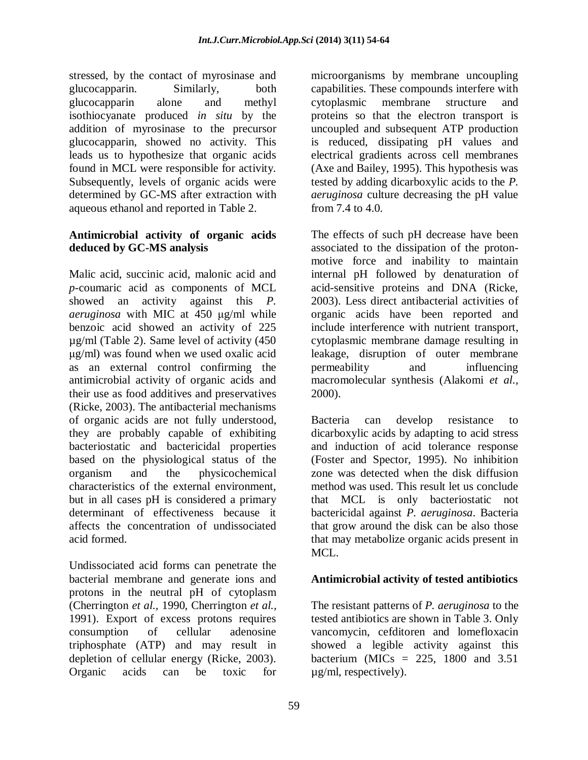stressed, by the contact of myrosinase and glucocapparin. Similarly, both glucocapparin alone and methyl isothiocyanate produced *in situ* by the addition of myrosinase to the precursor glucocapparin, showed no activity. This leads us to hypothesize that organic acids found in MCL were responsible for activity. Subsequently, levels of organic acids were determined by GC-MS after extraction with aqueous ethanol and reported in Table 2.

#### **Antimicrobial activity of organic acids deduced by GC-MS analysis**

Malic acid, succinic acid, malonic acid and *p*-coumaric acid as components of MCL showed an activity against this *P. aeruginosa* with MIC at 450 μg/ml while benzoic acid showed an activity of 225 µg/ml (Table 2). Same level of activity (450 μg/ml) was found when we used oxalic acid as an external control confirming the antimicrobial activity of organic acids and their use as food additives and preservatives (Ricke, 2003). The antibacterial mechanisms of organic acids are not fully understood, they are probably capable of exhibiting bacteriostatic and bactericidal properties based on the physiological status of the organism and the physicochemical characteristics of the external environment, but in all cases pH is considered a primary determinant of effectiveness because it affects the concentration of undissociated acid formed.

Undissociated acid forms can penetrate the bacterial membrane and generate ions and protons in the neutral pH of cytoplasm (Cherrington *et al.,* 1990, Cherrington *et al.,* 1991). Export of excess protons requires consumption of cellular adenosine triphosphate (ATP) and may result in depletion of cellular energy (Ricke, 2003). Organic acids can be toxic for

microorganisms by membrane uncoupling capabilities. These compounds interfere with cytoplasmic membrane structure and proteins so that the electron transport is uncoupled and subsequent ATP production is reduced, dissipating pH values and electrical gradients across cell membranes (Axe and Bailey, 1995). This hypothesis was tested by adding dicarboxylic acids to the *P. aeruginosa* culture decreasing the pH value from 7.4 to 4.0.

The effects of such pH decrease have been associated to the dissipation of the protonmotive force and inability to maintain internal pH followed by denaturation of acid-sensitive proteins and DNA (Ricke, 2003). Less direct antibacterial activities of organic acids have been reported and include interference with nutrient transport, cytoplasmic membrane damage resulting in leakage, disruption of outer membrane permeability and influencing macromolecular synthesis (Alakomi *et al.,* 2000).

Bacteria can develop resistance to dicarboxylic acids by adapting to acid stress and induction of acid tolerance response (Foster and Spector, 1995). No inhibition zone was detected when the disk diffusion method was used. This result let us conclude that MCL is only bacteriostatic not bactericidal against *P. aeruginosa*. Bacteria that grow around the disk can be also those that may metabolize organic acids present in MCL.

# **Antimicrobial activity of tested antibiotics**

The resistant patterns of *P. aeruginosa* to the tested antibiotics are shown in Table 3. Only vancomycin, cefditoren and lomefloxacin showed a legible activity against this bacterium (MICs =  $225$ , 1800 and  $3.51$ µg/ml, respectively).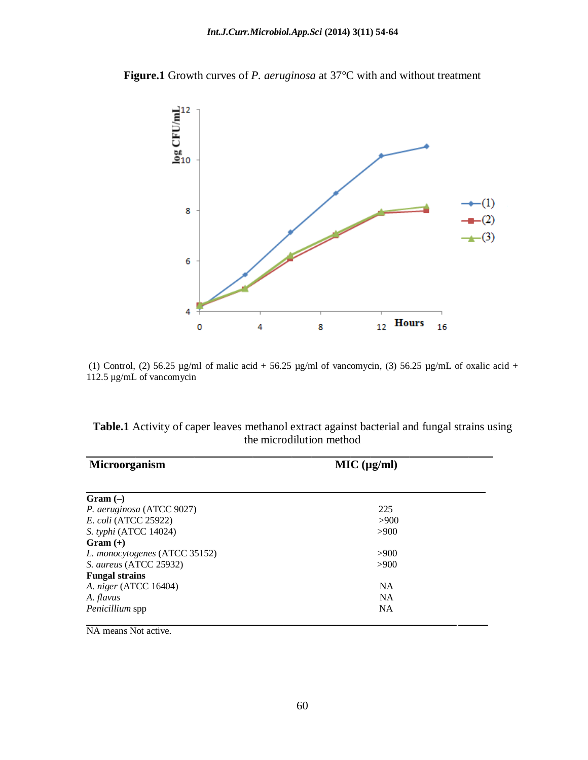

**Figure.1** Growth curves of *P. aeruginosa* at 37°C with and without treatment

(1) Control, (2) 56.25  $\mu$ g/ml of malic acid + 56.25  $\mu$ g/ml of vancomycin, (3) 56.25  $\mu$ g/mL of oxalic acid + 112.5 µg/mL of vancomycin

**Table.1** Activity of caper leaves methanol extract against bacterial and fungal strains using the microdilution method

| <b>Microorganism</b>          | MIC (µg/ml) |  |
|-------------------------------|-------------|--|
| $Gram(-)$                     |             |  |
| P. aeruginosa (ATCC 9027)     | 225         |  |
| <i>E. coli</i> (ATCC 25922)   | >900        |  |
| S. typhi (ATCC 14024)         | >900        |  |
| $Gram (+)$                    |             |  |
| L. monocytogenes (ATCC 35152) | >900        |  |
| S. aureus (ATCC 25932)        | >900        |  |
| <b>Fungal strains</b>         |             |  |
| A. niger (ATCC 16404)         | <b>NA</b>   |  |
| A. flavus                     | <b>NA</b>   |  |
| <i>Penicillium</i> spp        | <b>NA</b>   |  |

NA means Not active.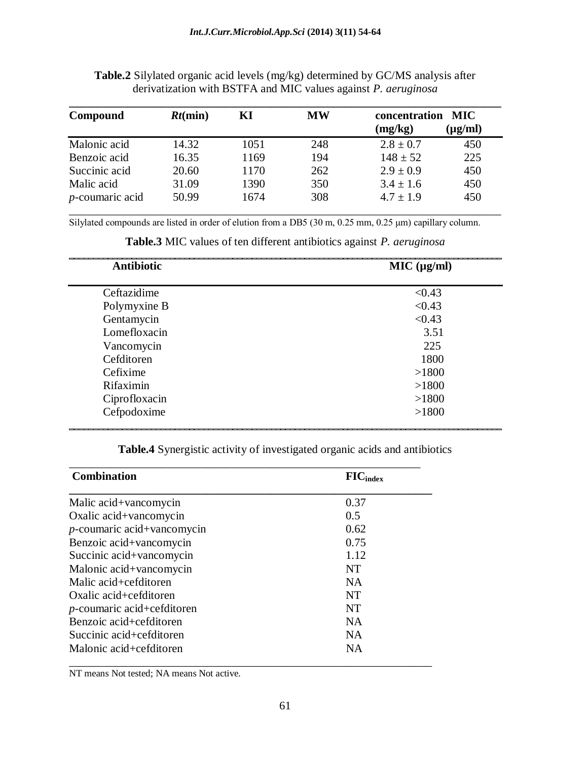| Compound           | $Rt$ (min) | KІ   | <b>MW</b> | concentration | MIC.         |
|--------------------|------------|------|-----------|---------------|--------------|
|                    |            |      |           | (mg/kg)       | $(\mu g/ml)$ |
| Malonic acid       | 14.32      | 1051 | 248       | $2.8 \pm 0.7$ | 450          |
| Benzoic acid       | 16.35      | 1169 | 194       | $148 \pm 52$  | 225          |
| Succinic acid      | 20.60      | 1170 | 262       | $2.9 \pm 0.9$ | 450          |
| Malic acid         | 31.09      | 1390 | 350       | $3.4 \pm 1.6$ | 450          |
| $p$ -coumaric acid | 50.99      | 1674 | 308       | $4.7 \pm 1.9$ | 450          |

**Table.2** Silylated organic acid levels (mg/kg) determined by GC/MS analysis after derivatization with BSTFA and MIC values against *P. aeruginosa*

Silylated compounds are listed in order of elution from a DB5 (30 m, 0.25 mm, 0.25 μm) capillary column.

| <b>Antibiotic</b> | MIC (µg/ml) |
|-------------------|-------------|
| Ceftazidime       | < 0.43      |
| Polymyxine B      | < 0.43      |
| Gentamycin        | < 0.43      |
| Lomefloxacin      | 3.51        |
| Vancomycin        | 225         |
| Cefditoren        | 1800        |
| Cefixime          | >1800       |
| Rifaximin         | >1800       |
| Ciprofloxacin     | >1800       |
| Cefpodoxime       | >1800       |

**Table.3** MIC values of ten different antibiotics against *P. aeruginosa*

**Table.4** Synergistic activity of investigated organic acids and antibiotics

| <b>Combination</b>            | $\mathbf{FIC}_{index}$ |
|-------------------------------|------------------------|
| Malic acid+vancomycin         | 0.37                   |
| Oxalic acid+vancomycin        | 0.5                    |
| $p$ -coumaric acid+vancomycin | 0.62                   |
| Benzoic acid+vancomycin       | 0.75                   |
| Succinic acid+vancomycin      | 1.12                   |
| Malonic acid+vancomycin       | <b>NT</b>              |
| Malic acid+cefditoren         | <b>NA</b>              |
| Oxalic acid+cefditoren        | <b>NT</b>              |
| $p$ -coumaric acid+cefditoren | NT                     |
| Benzoic acid+cefditoren       | <b>NA</b>              |
| Succinic acid+cefditoren      | NA                     |
| Malonic acid+cefditoren       | <b>NA</b>              |

NT means Not tested; NA means Not active.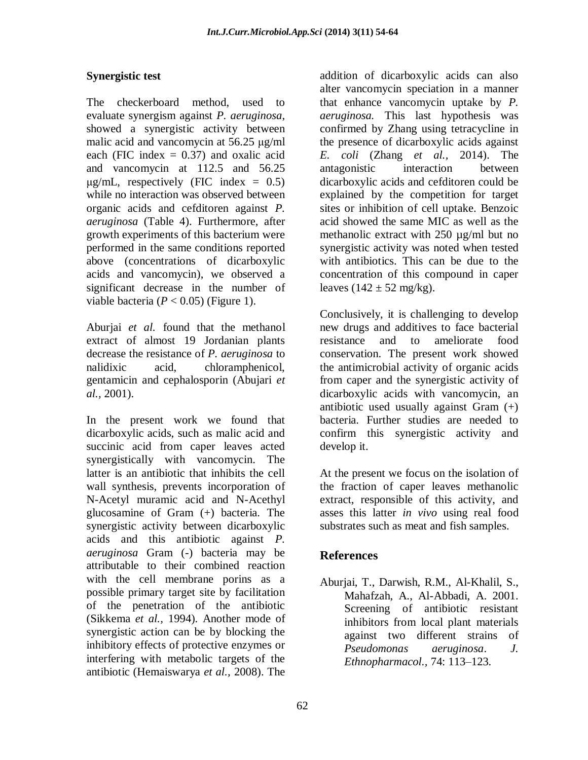# **Synergistic test**

The checkerboard method, used to evaluate synergism against *P. aeruginosa*, showed a synergistic activity between malic acid and vancomycin at 56.25 μg/ml each (FIC index  $= 0.37$ ) and oxalic acid and vancomycin at 112.5 and 56.25  $\mu$ g/mL, respectively (FIC index = 0.5) while no interaction was observed between organic acids and cefditoren against *P. aeruginosa* (Table 4). Furthermore, after growth experiments of this bacterium were performed in the same conditions reported above (concentrations of dicarboxylic acids and vancomycin), we observed a significant decrease in the number of viable bacteria  $(P < 0.05)$  (Figure 1).

Aburjai *et al.* found that the methanol extract of almost 19 Jordanian plants decrease the resistance of *P. aeruginosa* to nalidixic acid, chloramphenicol, gentamicin and cephalosporin (Abujari *et al.,* 2001).

In the present work we found that dicarboxylic acids, such as malic acid and succinic acid from caper leaves acted synergistically with vancomycin. The latter is an antibiotic that inhibits the cell wall synthesis, prevents incorporation of N-Acetyl muramic acid and N-Acethyl glucosamine of Gram (+) bacteria. The synergistic activity between dicarboxylic acids and this antibiotic against *P. aeruginosa* Gram (-) bacteria may be attributable to their combined reaction with the cell membrane porins as a possible primary target site by facilitation of the penetration of the antibiotic (Sikkema *et al.,* 1994). Another mode of synergistic action can be by blocking the inhibitory effects of protective enzymes or interfering with metabolic targets of the antibiotic (Hemaiswarya *et al.,* 2008). The

addition of dicarboxylic acids can also alter vancomycin speciation in a manner that enhance vancomycin uptake by *P. aeruginosa.* This last hypothesis was confirmed by Zhang using tetracycline in the presence of dicarboxylic acids against *E. coli* (Zhang *et al.,* 2014). The antagonistic interaction between dicarboxylic acids and cefditoren could be explained by the competition for target sites or inhibition of cell uptake. Benzoic acid showed the same MIC as well as the methanolic extract with 250 µg/ml but no synergistic activity was noted when tested with antibiotics. This can be due to the concentration of this compound in caper leaves  $(142 \pm 52 \text{ mg/kg})$ .

Conclusively, it is challenging to develop new drugs and additives to face bacterial resistance and to ameliorate food conservation. The present work showed the antimicrobial activity of organic acids from caper and the synergistic activity of dicarboxylic acids with vancomycin, an antibiotic used usually against Gram (+) bacteria. Further studies are needed to confirm this synergistic activity and develop it.

At the present we focus on the isolation of the fraction of caper leaves methanolic extract, responsible of this activity, and asses this latter *in vivo* using real food substrates such as meat and fish samples.

# **References**

Aburjai, T., Darwish, R.M., Al-Khalil, S., Mahafzah, A., Al-Abbadi, A. 2001. Screening of antibiotic resistant inhibitors from local plant materials against two different strains of *Pseudomonas aeruginosa*. *J. Ethnopharmacol.,* 74: 113–123.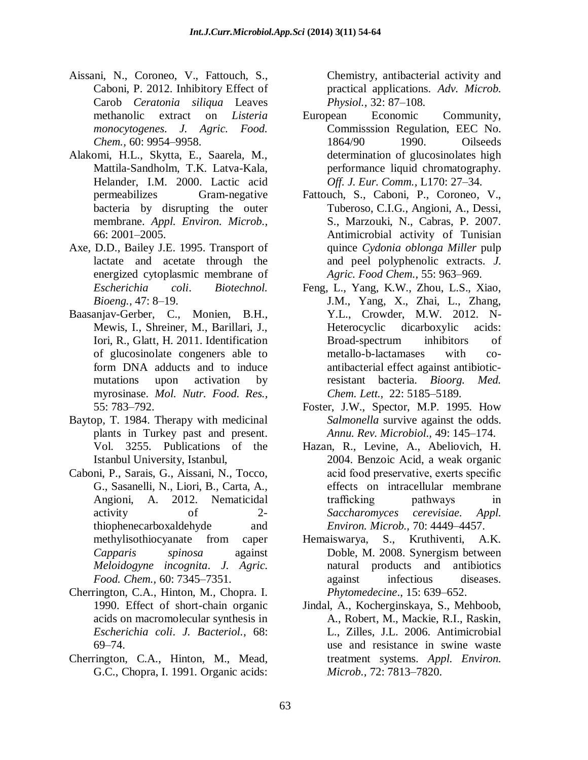- Aissani, N., Coroneo, V., Fattouch, S., Caboni, P. 2012. Inhibitory Effect of Carob *Ceratonia siliqua* Leaves methanolic extract on *Listeria monocytogenes*. *J. Agric. Food. Chem.,* 60: 9954–9958.
- Alakomi, H.L., Skytta, E., Saarela, M., Mattila-Sandholm, T.K. Latva-Kala, Helander, I.M. 2000. Lactic acid permeabilizes Gram-negative bacteria by disrupting the outer membrane. *Appl. Environ. Microb.,* 66: 2001–2005.
- Axe, D.D., Bailey J.E. 1995. Transport of lactate and acetate through the energized cytoplasmic membrane of *Escherichia coli*. *Biotechnol. Bioeng.,* 47: 8–19.
- Baasanjav-Gerber, C., Monien, B.H., Mewis, I., Shreiner, M., Barillari, J., Iori, R., Glatt, H. 2011. Identification of glucosinolate congeners able to form DNA adducts and to induce mutations upon activation by myrosinase. *Mol. Nutr. Food. Res.,* 55: 783–792.
- Baytop, T. 1984. Therapy with medicinal plants in Turkey past and present. Vol. 3255. Publications of the Istanbul University, Istanbul,
- Caboni, P., Sarais, G., Aissani, N., Tocco, G., Sasanelli, N., Liori, B., Carta, A., Angioni, A. 2012. Nematicidal activity of 2 thiophenecarboxaldehyde and methylisothiocyanate from caper *Capparis spinosa* against *Meloidogyne incognita*. *J. Agric. Food. Chem.,* 60: 7345–7351.
- Cherrington, C.A., Hinton, M., Chopra. I. 1990. Effect of short-chain organic acids on macromolecular synthesis in *Escherichia coli*. *J. Bacteriol.,* 68: 69–74.
- Cherrington, C.A., Hinton, M., Mead, G.C., Chopra, I. 1991. Organic acids:

Chemistry, antibacterial activity and practical applications. *Adv. Microb. Physiol.,* 32: 87–108.

- European Economic Community, Commisssion Regulation, EEC No. 1864/90 1990. Oilseeds determination of glucosinolates high performance liquid chromatography. *Off. J. Eur. Comm.,* L170: 27–34.
- Fattouch, S., Caboni, P., Coroneo, V., Tuberoso, C.I.G., Angioni, A., Dessi, S., Marzouki, N., Cabras, P. 2007. Antimicrobial activity of Tunisian quince *Cydonia oblonga Miller* pulp and peel polyphenolic extracts. *J. Agric. Food Chem.,* 55: 963–969.
- Feng, L., Yang, K.W., Zhou, L.S., Xiao, J.M., Yang, X., Zhai, L., Zhang, Y.L., Crowder, M.W. 2012. N-Heterocyclic dicarboxylic acids: Broad-spectrum inhibitors of metallo-b-lactamases with coantibacterial effect against antibioticresistant bacteria. *Bioorg. Med. Chem. Lett.,* 22: 5185–5189.
- Foster, J.W., Spector, M.P. 1995. How *Salmonella* survive against the odds. *Annu. Rev. Microbiol.,* 49: 145–174.
- Hazan, R., Levine, A., Abeliovich, H. 2004. Benzoic Acid, a weak organic acid food preservative, exerts specific effects on intracellular membrane trafficking pathways in *Saccharomyces cerevisiae. Appl. Environ. Microb.,* 70: 4449–4457.
- Hemaiswarya, S., Kruthiventi, A.K. Doble, M. 2008. Synergism between natural products and antibiotics against infectious diseases. *Phytomedecine*., 15: 639–652.
- Jindal, A., Kocherginskaya, S., Mehboob, A., Robert, M., Mackie, R.I., Raskin, L., Zilles, J.L. 2006. Antimicrobial use and resistance in swine waste treatment systems. *Appl. Environ. Microb.,* 72: 7813–7820.